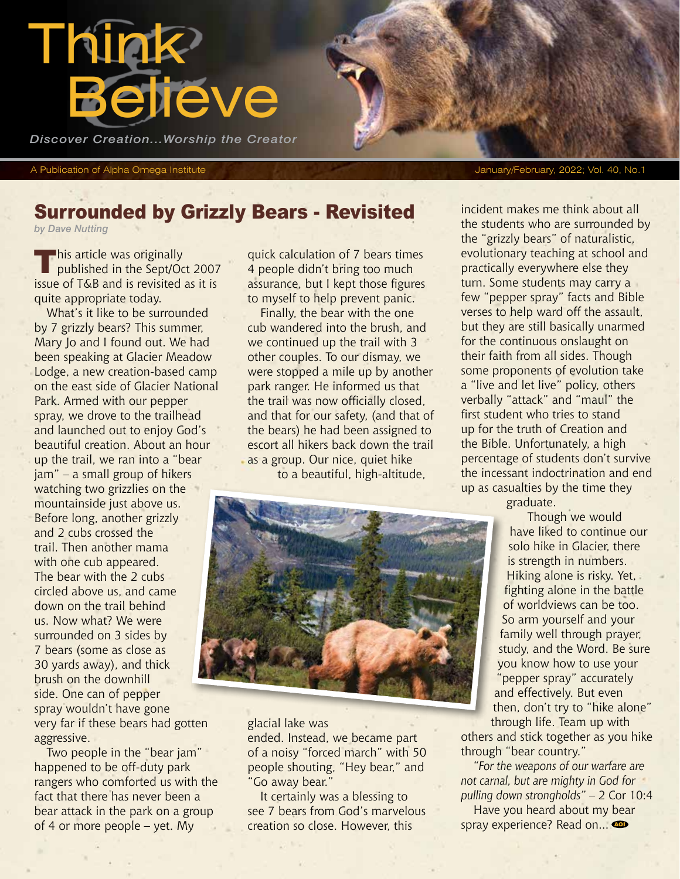

A Publication of Alpha Omega Institute January/February, 2022; Vol. 40, No.1

## Surrounded by Grizzly Bears - Revisited

*by Dave Nutting*

**This article was originally<br>published in the Sept/Oct 2007** issue of T&B and is revisited as it is quite appropriate today.

What's it like to be surrounded by 7 grizzly bears? This summer, Mary Jo and I found out. We had been speaking at Glacier Meadow Lodge, a new creation-based camp on the east side of Glacier National Park. Armed with our pepper spray, we drove to the trailhead and launched out to enjoy God's beautiful creation. About an hour up the trail, we ran into a "bear jam" – a small group of hikers watching two grizzlies on the mountainside just above us. Before long, another grizzly and 2 cubs crossed the trail. Then another mama with one cub appeared. The bear with the 2 cubs circled above us, and came down on the trail behind us. Now what? We were surrounded on 3 sides by 7 bears (some as close as 30 yards away), and thick brush on the downhill side. One can of pepper spray wouldn't have gone very far if these bears had gotten aggressive.

Two people in the "bear jam" happened to be off-duty park rangers who comforted us with the fact that there has never been a bear attack in the park on a group of 4 or more people – yet. My

quick calculation of 7 bears times 4 people didn't bring too much assurance, but I kept those figures to myself to help prevent panic.

Finally, the bear with the one cub wandered into the brush, and we continued up the trail with 3 other couples. To our dismay, we were stopped a mile up by another park ranger. He informed us that the trail was now officially closed, and that for our safety, (and that of the bears) he had been assigned to escort all hikers back down the trail as a group. Our nice, quiet hike to a beautiful, high-altitude,



glacial lake was

ended. Instead, we became part of a noisy "forced march" with 50 people shouting, "Hey bear," and "Go away bear."

It certainly was a blessing to see 7 bears from God's marvelous creation so close. However, this

incident makes me think about all the students who are surrounded by the "grizzly bears" of naturalistic, evolutionary teaching at school and practically everywhere else they turn. Some students may carry a few "pepper spray" facts and Bible verses to help ward off the assault, but they are still basically unarmed for the continuous onslaught on their faith from all sides. Though some proponents of evolution take a "live and let live" policy, others verbally "attack" and "maul" the first student who tries to stand up for the truth of Creation and the Bible. Unfortunately, a high percentage of students don't survive the incessant indoctrination and end up as casualties by the time they

graduate.

 Though we would have liked to continue our solo hike in Glacier, there is strength in numbers. Hiking alone is risky. Yet, fighting alone in the battle of worldviews can be too. So arm yourself and your family well through prayer, study, and the Word. Be sure you know how to use your "pepper spray" accurately and effectively. But even then, don't try to "hike alone" through life. Team up with

others and stick together as you hike through "bear country."

*"For the weapons of our warfare are not carnal, but are mighty in God for pulling down strongholds"* – 2 Cor 10:4

Have you heard about my bear spray experience? Read on...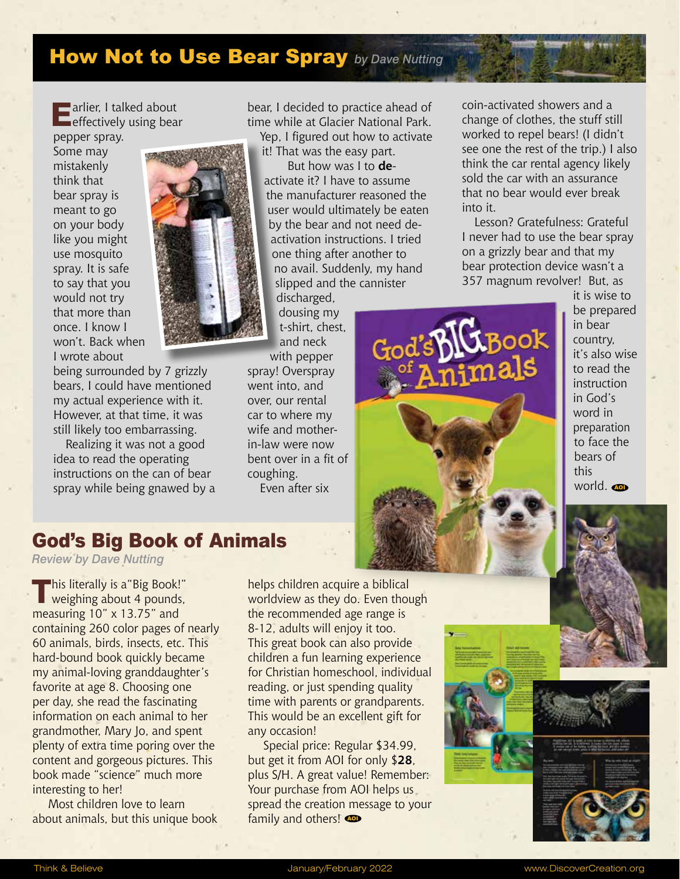# How Not to Use Bear Spray *by Dave Nutting*

**Earlier, I talked about**<br> **E** effectively using bear

pepper spray. Some may mistakenly think that bear spray is meant to go on your body like you might use mosquito spray. It is safe to say that you would not try that more than once. I know I won't. Back when I wrote about

being surrounded by 7 grizzly bears, I could have mentioned my actual experience with it. However, at that time, it was still likely too embarrassing.

Realizing it was not a good idea to read the operating instructions on the can of bear spray while being gnawed by a

bear, I decided to practice ahead of time while at Glacier National Park. Yep, I figured out how to activate it! That was the easy part.

But how was I to **de**activate it? I have to assume the manufacturer reasoned the user would ultimately be eaten by the bear and not need deactivation instructions. I tried one thing after another to no avail. Suddenly, my hand slipped and the cannister

discharged, dousing my t-shirt, chest, and neck

with pepper spray! Overspray went into, and over, our rental car to where my wife and motherin-law were now bent over in a fit of coughing. Even after six

coin-activated showers and a change of clothes, the stuff still worked to repel bears! (I didn't see one the rest of the trip.) I also think the car rental agency likely sold the car with an assurance that no bear would ever break into it.

Lesson? Gratefulness: Grateful I never had to use the bear spray on a grizzly bear and that my bear protection device wasn't a 357 magnum revolver! But, as



it is wise to be prepared in bear country, it's also wise to read the instruction in God's word in preparation to face the bears of this world. **@** 



*Review by Dave Nutting*

This literally is a "Big Book!"<br>Weighing about 4 pounds, measuring 10" x 13.75" and containing 260 color pages of nearly 60 animals, birds, insects, etc. This hard-bound book quickly became my animal-loving granddaughter's favorite at age 8. Choosing one per day, she read the fascinating information on each animal to her grandmother, Mary Jo, and spent plenty of extra time poring over the content and gorgeous pictures. This book made "science" much more interesting to her!

Most children love to learn about animals, but this unique book helps children acquire a biblical worldview as they do. Even though the recommended age range is 8-12, adults will enjoy it too. This great book can also provide children a fun learning experience for Christian homeschool, individual reading, or just spending quality time with parents or grandparents. This would be an excellent gift for any occasion!

Special price: Regular \$34.99, but get it from AOI for only \$**28**, plus S/H. A great value! Remember: Your purchase from AOI helps us spread the creation message to your family and others!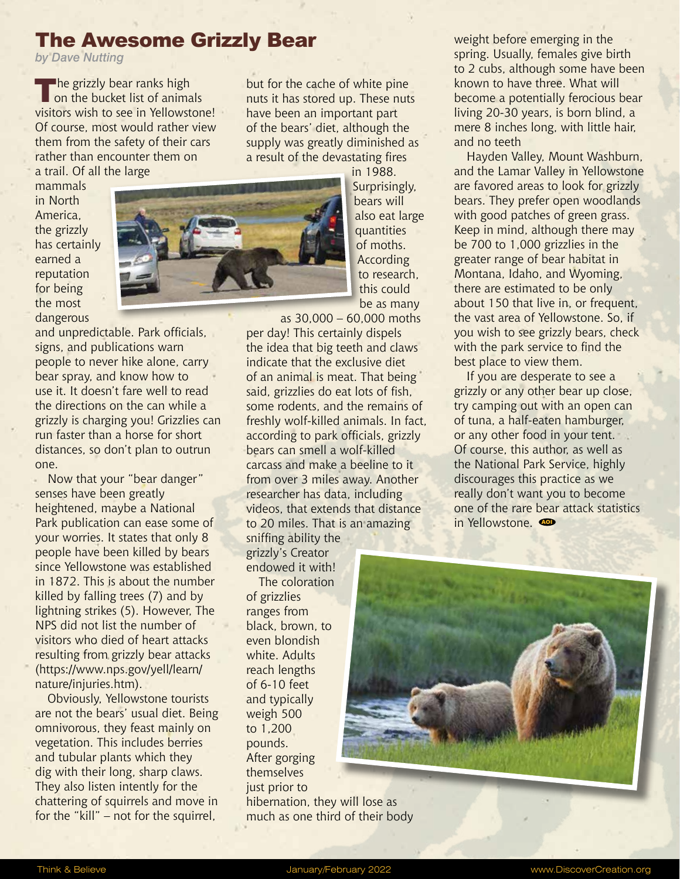#### The Awesome Grizzly Bear

*by Dave Nutting*

 $\blacksquare$ he grizzly bear ranks high on the bucket list of animals visitors wish to see in Yellowstone! Of course, most would rather view them from the safety of their cars rather than encounter them on a trail. Of all the large

but for the cache of white pine nuts it has stored up. These nuts have been an important part of the bears' diet, although the supply was greatly diminished as a result of the devastating fires

mammals in North America, the grizzly has certainly earned a reputation for being the most dangerous



and unpredictable. Park officials, signs, and publications warn people to never hike alone, carry bear spray, and know how to use it. It doesn't fare well to read the directions on the can while a grizzly is charging you! Grizzlies can run faster than a horse for short distances, so don't plan to outrun one.

Now that your "bear danger" senses have been greatly heightened, maybe a National Park publication can ease some of your worries. It states that only 8 people have been killed by bears since Yellowstone was established in 1872. This is about the number killed by falling trees (7) and by lightning strikes (5). However, The NPS did not list the number of visitors who died of heart attacks resulting from grizzly bear attacks (https://www.nps.gov/yell/learn/ nature/injuries.htm).

Obviously, Yellowstone tourists are not the bears' usual diet. Being omnivorous, they feast mainly on vegetation. This includes berries and tubular plants which they dig with their long, sharp claws. They also listen intently for the chattering of squirrels and move in for the "kill" – not for the squirrel,

in 1988. Surprisingly, bears will also eat large quantities of moths. According to research, this could be as many

as 30,000 – 60,000 moths per day! This certainly dispels the idea that big teeth and claws indicate that the exclusive diet of an animal is meat. That being said, grizzlies do eat lots of fish, some rodents, and the remains of freshly wolf-killed animals. In fact, according to park officials, grizzly bears can smell a wolf-killed carcass and make a beeline to it from over 3 miles away. Another researcher has data, including videos, that extends that distance to 20 miles. That is an amazing sniffing ability the

grizzly's Creator endowed it with!

The coloration of grizzlies ranges from black, brown, to even blondish white. Adults reach lengths of 6-10 feet and typically weigh 500 to 1,200 pounds. After gorging themselves just prior to hibernation, they will lose as much as one third of their body weight before emerging in the spring. Usually, females give birth to 2 cubs, although some have been known to have three. What will become a potentially ferocious bear living 20-30 years, is born blind, a mere 8 inches long, with little hair, and no teeth

Hayden Valley, Mount Washburn, and the Lamar Valley in Yellowstone are favored areas to look for grizzly bears. They prefer open woodlands with good patches of green grass. Keep in mind, although there may be 700 to 1,000 grizzlies in the greater range of bear habitat in Montana, Idaho, and Wyoming, there are estimated to be only about 150 that live in, or frequent, the vast area of Yellowstone. So, if you wish to see grizzly bears, check with the park service to find the best place to view them.

If you are desperate to see a grizzly or any other bear up close, try camping out with an open can of tuna, a half-eaten hamburger, or any other food in your tent. Of course, this author, as well as the National Park Service, highly discourages this practice as we really don't want you to become one of the rare bear attack statistics in Yellowstone.